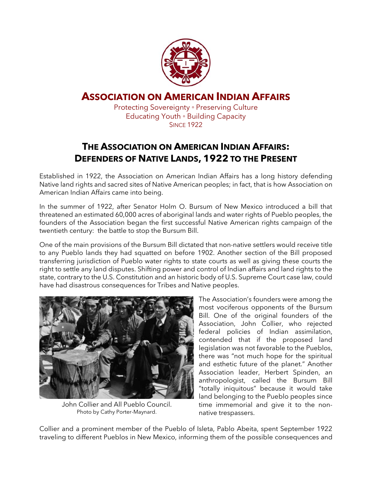

## **ASSOCIATION ON AMERICAN INDIAN AFFAIRS**

Protecting Sovereignty ◦ Preserving Culture Educating Youth ◦ Building Capacity **SINCE 1922** 

## **THE ASSOCIATION ON AMERICAN INDIAN AFFAIRS: DEFENDERS OF NATIVE LANDS, 1922 TO THE PRESENT**

Established in 1922, the Association on American Indian Affairs has a long history defending Native land rights and sacred sites of Native American peoples; in fact, that is how Association on American Indian Affairs came into being.

In the summer of 1922, after Senator Holm O. Bursum of New Mexico introduced a bill that threatened an estimated 60,000 acres of aboriginal lands and water rights of Pueblo peoples, the founders of the Association began the first successful Native American rights campaign of the twentieth century: the battle to stop the Bursum Bill.

One of the main provisions of the Bursum Bill dictated that non-native settlers would receive title to any Pueblo lands they had squatted on before 1902. Another section of the Bill proposed transferring jurisdiction of Pueblo water rights to state courts as well as giving these courts the right to settle any land disputes. Shifting power and control of Indian affairs and land rights to the state, contrary to the U.S. Constitution and an historic body of U.S. Supreme Court case law, could have had disastrous consequences for Tribes and Native peoples.



John Collier and All Pueblo Council. Photo by Cathy Porter-Maynard.

The Association's founders were among the most vociferous opponents of the Bursum Bill. One of the original founders of the Association, John Collier, who rejected federal policies of Indian assimilation, contended that if the proposed land legislation was not favorable to the Pueblos, there was "not much hope for the spiritual and esthetic future of the planet." Another Association leader, Herbert Spinden, an anthropologist, called the Bursum Bill "totally iniquitous" because it would take land belonging to the Pueblo peoples since time immemorial and give it to the nonnative trespassers.

Collier and a prominent member of the Pueblo of Isleta, Pablo Abeita, spent September 1922 traveling to different Pueblos in New Mexico, informing them of the possible consequences and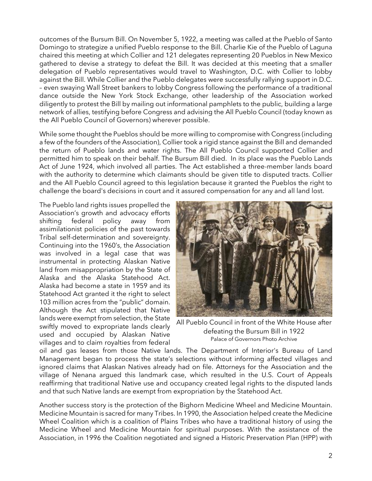outcomes of the Bursum Bill. On November 5, 1922, a meeting was called at the Pueblo of Santo Domingo to strategize a unified Pueblo response to the Bill. Charlie Kie of the Pueblo of Laguna chaired this meeting at which Collier and 121 delegates representing 20 Pueblos in New Mexico gathered to devise a strategy to defeat the Bill. It was decided at this meeting that a smaller delegation of Pueblo representatives would travel to Washington, D.C. with Collier to lobby against the Bill. While Collier and the Pueblo delegates were successfully rallying support in D.C. – even swaying Wall Street bankers to lobby Congress following the performance of a traditional dance outside the New York Stock Exchange, other leadership of the Association worked diligently to protest the Bill by mailing out informational pamphlets to the public, building a large network of allies, testifying before Congress and advising the All Pueblo Council (today known as the All Pueblo Council of Governors) wherever possible.

While some thought the Pueblos should be more willing to compromise with Congress (including a few of the founders of the Association), Collier took a rigid stance against the Bill and demanded the return of Pueblo lands and water rights. The All Pueblo Council supported Collier and permitted him to speak on their behalf. The Bursum Bill died. In its place was the Pueblo Lands Act of June 1924, which involved all parties. The Act established a three-member lands board with the authority to determine which claimants should be given title to disputed tracts. Collier and the All Pueblo Council agreed to this legislation because it granted the Pueblos the right to challenge the board's decisions in court and it assured compensation for any and all land lost.

The Pueblo land rights issues propelled the Association's growth and advocacy efforts shifting federal policy away from assimilationist policies of the past towards Tribal self-determination and sovereignty. Continuing into the 1960's, the Association was involved in a legal case that was instrumental in protecting Alaskan Native land from misappropriation by the State of Alaska and the Alaska Statehood Act. Alaska had become a state in 1959 and its Statehood Act granted it the right to select 103 million acres from the "public" domain. Although the Act stipulated that Native lands were exempt from selection, the State swiftly moved to expropriate lands clearly used and occupied by Alaskan Native villages and to claim royalties from federal



All Pueblo Council in front of the White House after defeating the Bursum Bill in 1922 Palace of Governors Photo Archive

oil and gas leases from those Native lands. The Department of Interior's Bureau of Land Management began to process the state's selections without informing affected villages and ignored claims that Alaskan Natives already had on file. Attorneys for the Association and the village of Nenana argued this landmark case, which resulted in the U.S. Court of Appeals reaffirming that traditional Native use and occupancy created legal rights to the disputed lands and that such Native lands are exempt from expropriation by the Statehood Act.

Another success story is the protection of the Bighorn Medicine Wheel and Medicine Mountain. Medicine Mountain is sacred for many Tribes. In 1990, the Association helped create the Medicine Wheel Coalition which is a coalition of Plains Tribes who have a traditional history of using the Medicine Wheel and Medicine Mountain for spiritual purposes. With the assistance of the Association, in 1996 the Coalition negotiated and signed a Historic Preservation Plan (HPP) with